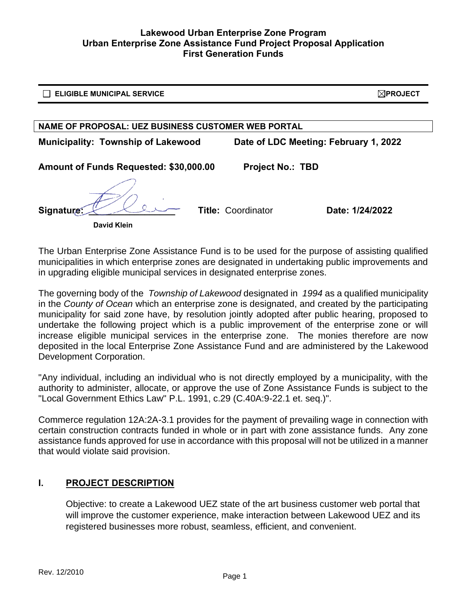| <b>ELIGIBLE MUNICIPAL SERVICE</b>                                                  | $\bowtie$ PROJECT |
|------------------------------------------------------------------------------------|-------------------|
|                                                                                    |                   |
| NAME OF PROPOSAL: UEZ BUSINESS CUSTOMER WEB PORTAL                                 |                   |
| <b>Municipality: Township of Lakewood</b><br>Date of LDC Meeting: February 1, 2022 |                   |
| Amount of Funds Requested: \$30,000.00<br><b>Project No.: TBD</b>                  |                   |
| Signature:<br><b>Title: Coordinator</b><br>Date: 1/24/2022<br><b>David Klein</b>   |                   |

The Urban Enterprise Zone Assistance Fund is to be used for the purpose of assisting qualified municipalities in which enterprise zones are designated in undertaking public improvements and in upgrading eligible municipal services in designated enterprise zones.

The governing body of the *Township of Lakewood* designated in *1994* as a qualified municipality in the *County of Ocean* which an enterprise zone is designated, and created by the participating municipality for said zone have, by resolution jointly adopted after public hearing, proposed to undertake the following project which is a public improvement of the enterprise zone or will increase eligible municipal services in the enterprise zone. The monies therefore are now deposited in the local Enterprise Zone Assistance Fund and are administered by the Lakewood Development Corporation.

"Any individual, including an individual who is not directly employed by a municipality, with the authority to administer, allocate, or approve the use of Zone Assistance Funds is subject to the "Local Government Ethics Law" P.L. 1991, c.29 (C.40A:9-22.1 et. seq.)".

Commerce regulation 12A:2A-3.1 provides for the payment of prevailing wage in connection with certain construction contracts funded in whole or in part with zone assistance funds. Any zone assistance funds approved for use in accordance with this proposal will not be utilized in a manner that would violate said provision.

# **I. PROJECT DESCRIPTION**

Objective: to create a Lakewood UEZ state of the art business customer web portal that will improve the customer experience, make interaction between Lakewood UEZ and its registered businesses more robust, seamless, efficient, and convenient.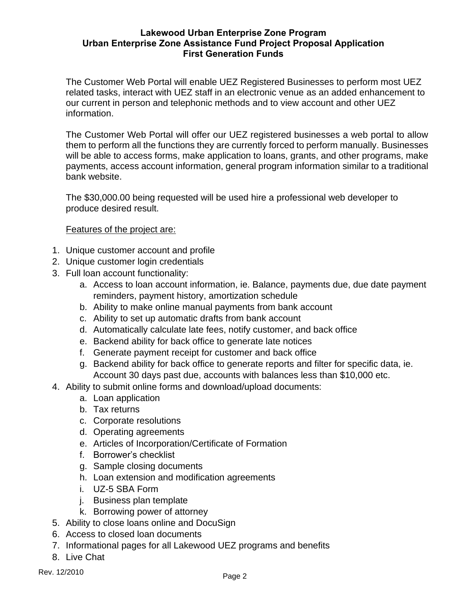The Customer Web Portal will enable UEZ Registered Businesses to perform most UEZ related tasks, interact with UEZ staff in an electronic venue as an added enhancement to our current in person and telephonic methods and to view account and other UEZ information.

The Customer Web Portal will offer our UEZ registered businesses a web portal to allow them to perform all the functions they are currently forced to perform manually. Businesses will be able to access forms, make application to loans, grants, and other programs, make payments, access account information, general program information similar to a traditional bank website.

The \$30,000.00 being requested will be used hire a professional web developer to produce desired result.

Features of the project are:

- 1. Unique customer account and profile
- 2. Unique customer login credentials
- 3. Full loan account functionality:
	- a. Access to loan account information, ie. Balance, payments due, due date payment reminders, payment history, amortization schedule
	- b. Ability to make online manual payments from bank account
	- c. Ability to set up automatic drafts from bank account
	- d. Automatically calculate late fees, notify customer, and back office
	- e. Backend ability for back office to generate late notices
	- f. Generate payment receipt for customer and back office
	- g. Backend ability for back office to generate reports and filter for specific data, ie. Account 30 days past due, accounts with balances less than \$10,000 etc.
- 4. Ability to submit online forms and download/upload documents:
	- a. Loan application
	- b. Tax returns
	- c. Corporate resolutions
	- d. Operating agreements
	- e. Articles of Incorporation/Certificate of Formation
	- f. Borrower's checklist
	- g. Sample closing documents
	- h. Loan extension and modification agreements
	- i. UZ-5 SBA Form
	- j. Business plan template
	- k. Borrowing power of attorney
- 5. Ability to close loans online and DocuSign
- 6. Access to closed loan documents
- 7. Informational pages for all Lakewood UEZ programs and benefits
- 8. Live Chat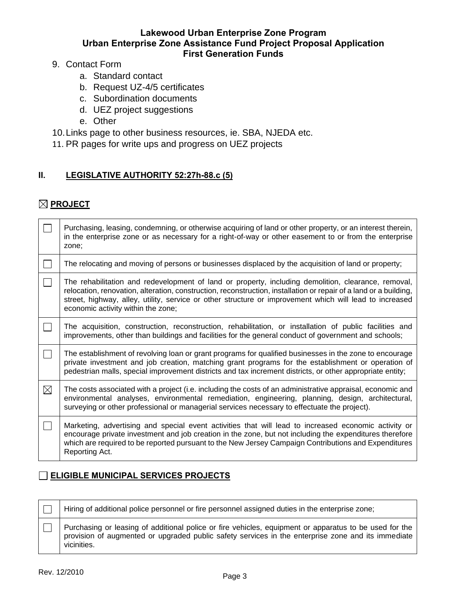#### 9. Contact Form

- a. Standard contact
- b. Request UZ-4/5 certificates
- c. Subordination documents
- d. UEZ project suggestions
- e. Other
- 10.Links page to other business resources, ie. SBA, NJEDA etc.
- 11. PR pages for write ups and progress on UEZ projects

# **II. LEGISLATIVE AUTHORITY 52:27h-88.c (5)**

# **PROJECT**

|             | Purchasing, leasing, condemning, or otherwise acquiring of land or other property, or an interest therein,<br>in the enterprise zone or as necessary for a right-of-way or other easement to or from the enterprise<br>zone;                                                                                                                                              |
|-------------|---------------------------------------------------------------------------------------------------------------------------------------------------------------------------------------------------------------------------------------------------------------------------------------------------------------------------------------------------------------------------|
| $\Box$      | The relocating and moving of persons or businesses displaced by the acquisition of land or property;                                                                                                                                                                                                                                                                      |
| $\Box$      | The rehabilitation and redevelopment of land or property, including demolition, clearance, removal,<br>relocation, renovation, alteration, construction, reconstruction, installation or repair of a land or a building,<br>street, highway, alley, utility, service or other structure or improvement which will lead to increased<br>economic activity within the zone; |
|             | The acquisition, construction, reconstruction, rehabilitation, or installation of public facilities and<br>improvements, other than buildings and facilities for the general conduct of government and schools;                                                                                                                                                           |
| $\Box$      | The establishment of revolving loan or grant programs for qualified businesses in the zone to encourage<br>private investment and job creation, matching grant programs for the establishment or operation of<br>pedestrian malls, special improvement districts and tax increment districts, or other appropriate entity;                                                |
| $\boxtimes$ | The costs associated with a project (i.e. including the costs of an administrative appraisal, economic and<br>environmental analyses, environmental remediation, engineering, planning, design, architectural,<br>surveying or other professional or managerial services necessary to effectuate the project).                                                            |
|             | Marketing, advertising and special event activities that will lead to increased economic activity or<br>encourage private investment and job creation in the zone, but not including the expenditures therefore<br>which are required to be reported pursuant to the New Jersey Campaign Contributions and Expenditures<br>Reporting Act.                                 |

# **ELIGIBLE MUNICIPAL SERVICES PROJECTS**

 $\Box$ Hiring of additional police personnel or fire personnel assigned duties in the enterprise zone; Purchasing or leasing of additional police or fire vehicles, equipment or apparatus to be used for the  $\Box$ provision of augmented or upgraded public safety services in the enterprise zone and its immediate vicinities.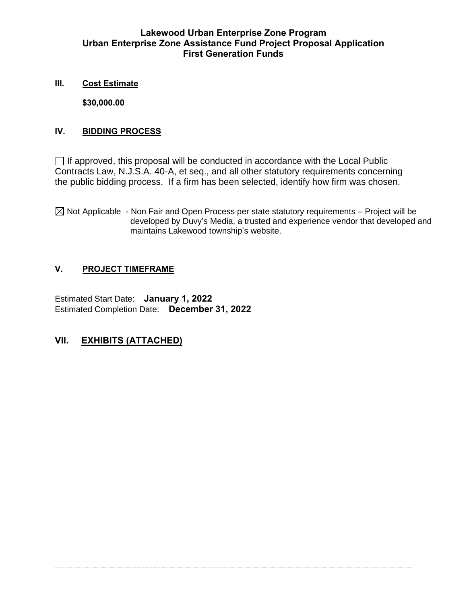#### **III. Cost Estimate**

**\$30,000.00**

#### **IV. BIDDING PROCESS**

 $\Box$  If approved, this proposal will be conducted in accordance with the Local Public Contracts Law, N.J.S.A. 40-A, et seq., and all other statutory requirements concerning the public bidding process. If a firm has been selected, identify how firm was chosen.

 $\boxtimes$  Not Applicable - Non Fair and Open Process per state statutory requirements – Project will be developed by Duvy's Media, a trusted and experience vendor that developed and maintains Lakewood township's website.

# **V. PROJECT TIMEFRAME**

Estimated Start Date: **January 1, 2022** Estimated Completion Date: **December 31, 2022**

# **VII. EXHIBITS (ATTACHED)**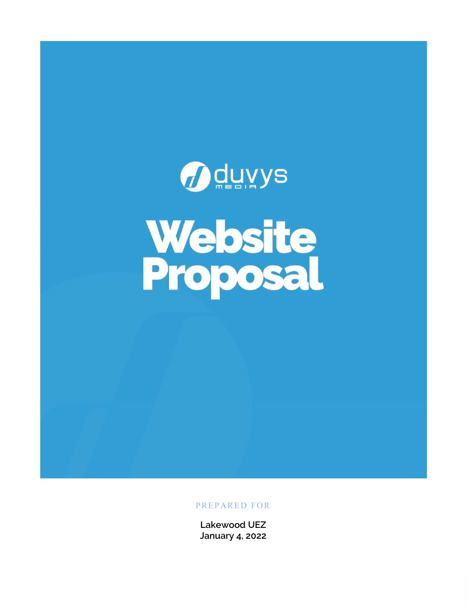# *D*duvys **Website**<br>Proposal

# PREPARED FOR

Lakewood UEZ January 4, 2022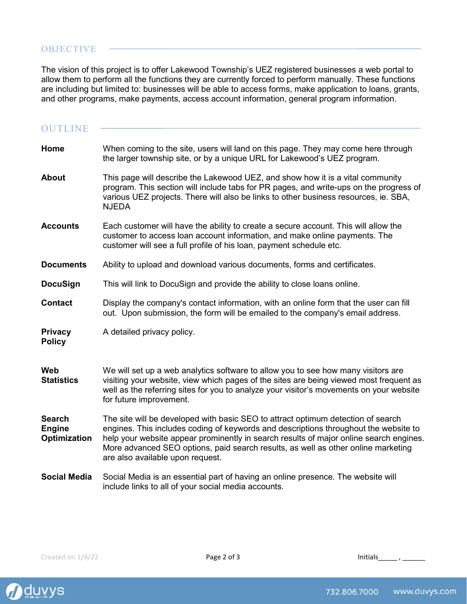## **OBJECTIVE**

The vision of this project is to offer Lakewood Township's UEZ registered businesses a web portal to allow them to perform all the functions they are currently forced to perform manually. These functions are including but limited to: businesses will be able to access forms, make application to loans, grants, and other programs, make payments, access account information, general program information.

| <b>OUTLINE</b>                                 |                                                                                                                                                                                                                                                                                                                                                                                             |
|------------------------------------------------|---------------------------------------------------------------------------------------------------------------------------------------------------------------------------------------------------------------------------------------------------------------------------------------------------------------------------------------------------------------------------------------------|
| Home                                           | When coming to the site, users will land on this page. They may come here through<br>the larger township site, or by a unique URL for Lakewood's UEZ program.                                                                                                                                                                                                                               |
| <b>About</b>                                   | This page will describe the Lakewood UEZ, and show how it is a vital community<br>program. This section will include tabs for PR pages, and write-ups on the progress of<br>various UEZ projects. There will also be links to other business resources, ie. SBA,<br><b>NJEDA</b>                                                                                                            |
| <b>Accounts</b>                                | Each customer will have the ability to create a secure account. This will allow the<br>customer to access loan account information, and make online payments. The<br>customer will see a full profile of his loan, payment schedule etc.                                                                                                                                                    |
| <b>Documents</b>                               | Ability to upload and download various documents, forms and certificates.                                                                                                                                                                                                                                                                                                                   |
| <b>DocuSign</b>                                | This will link to DocuSign and provide the ability to close loans online.                                                                                                                                                                                                                                                                                                                   |
| <b>Contact</b>                                 | Display the company's contact information, with an online form that the user can fill<br>out. Upon submission, the form will be emailed to the company's email address.                                                                                                                                                                                                                     |
| <b>Privacy</b><br><b>Policy</b>                | A detailed privacy policy.                                                                                                                                                                                                                                                                                                                                                                  |
| <b>Web</b><br><b>Statistics</b>                | We will set up a web analytics software to allow you to see how many visitors are<br>visiting your website, view which pages of the sites are being viewed most frequent as<br>well as the referring sites for you to analyze your visitor's movements on your website<br>for future improvement.                                                                                           |
| <b>Search</b><br><b>Engine</b><br>Optimization | The site will be developed with basic SEO to attract optimum detection of search<br>engines. This includes coding of keywords and descriptions throughout the website to<br>help your website appear prominently in search results of major online search engines.<br>More advanced SEO options, paid search results, as well as other online marketing<br>are also available upon request. |
| <b>Social Media</b>                            | Social Media is an essential part of having an online presence. The website will<br>include links to all of your social media accounts.                                                                                                                                                                                                                                                     |